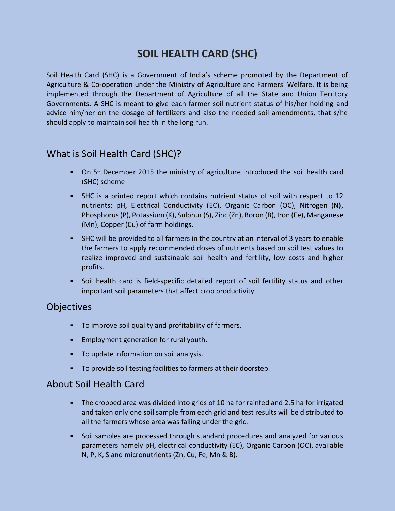### **SOIL HEALTH CARD (SHC)**

Soil Health Card (SHC) is a Government of India's scheme promoted by the Department of Agriculture & Co-operation under the Ministry of Agriculture and Farmers' Welfare. It is being implemented through the Department of Agriculture of all the State and Union Territory Governments. A SHC is meant to give each farmer soil nutrient status of his/her holding and advice him/her on the dosage of fertilizers and also the needed soil amendments, that s/he should apply to maintain soil health in the long run.

#### What is Soil Health Card (SHC)?

- $\blacksquare$  On 5<sup>th</sup> December 2015 the ministry of agriculture introduced the soil health card (SHC) scheme
- SHC is a printed report which contains nutrient status of soil with respect to 12 nutrients: pH, Electrical Conductivity (EC), Organic Carbon (OC), Nitrogen (N), Phosphorus (P), Potassium (K), Sulphur (S), Zinc (Zn), Boron (B), Iron (Fe), Manganese (Mn), Copper (Cu) of farm holdings.
- SHC will be provided to all farmers in the country at an interval of 3 years to enable the farmers to apply recommended doses of nutrients based on soil test values to realize improved and sustainable soil health and fertility, low costs and higher profits.
- Soil health card is field-specific detailed report of soil fertility status and other important soil parameters that affect crop productivity.

#### **Objectives**

- To improve soil quality and profitability of farmers.
- **Employment generation for rural youth.**
- To update information on soil analysis.
- To provide soil testing facilities to farmers at their doorstep.

#### About Soil Health Card

- The cropped area was divided into grids of 10 ha for rainfed and 2.5 ha for irrigated and taken only one soil sample from each grid and test results will be distributed to all the farmers whose area was falling under the grid.
- Soil samples are processed through standard procedures and analyzed for various parameters namely pH, electrical conductivity (EC), Organic Carbon (OC), available N, P, K, S and micronutrients (Zn, Cu, Fe, Mn & B).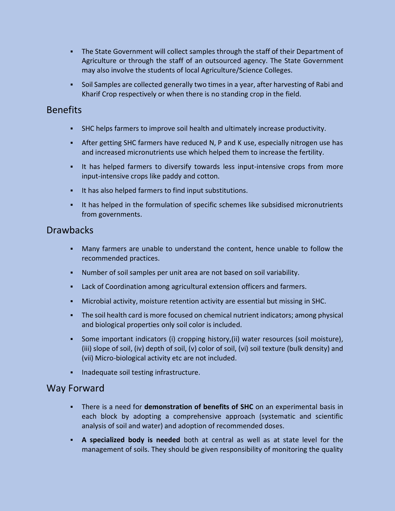- The State Government will collect samples through the staff of their Department of Agriculture or through the staff of an outsourced agency. The State Government may also involve the students of local Agriculture/Science Colleges.
- Soil Samples are collected generally two times in a year, after harvesting of Rabi and Kharif Crop respectively or when there is no standing crop in the field.

#### **Benefits**

- SHC helps farmers to improve soil health and ultimately increase productivity.
- After getting SHC farmers have reduced N, P and K use, especially nitrogen use has and increased micronutrients use which helped them to increase the fertility.
- It has helped farmers to diversify towards less input-intensive crops from more input-intensive crops like paddy and cotton.
- It has also helped farmers to find input substitutions.
- It has helped in the formulation of specific schemes like subsidised micronutrients from governments.

#### **Drawbacks**

- Many farmers are unable to understand the content, hence unable to follow the recommended practices.
- Number of soil samples per unit area are not based on soil variability.
- Lack of Coordination among agricultural extension officers and farmers.
- Microbial activity, moisture retention activity are essential but missing in SHC.
- The soil health card is more focused on chemical nutrient indicators; among physical and biological properties only soil color is included.
- Some important indicators (i) cropping history,(ii) water resources (soil moisture), (iii) slope of soil, (iv) depth of soil, (v) color of soil, (vi) soil texture (bulk density) and (vii) Micro-biological activity etc are not included.
- **Inadequate soil testing infrastructure.**

#### Way Forward

- There is a need for **demonstration of benefits of SHC** on an experimental basis in each block by adopting a comprehensive approach (systematic and scientific analysis of soil and water) and adoption of recommended doses.
- **A specialized body is needed** both at central as well as at state level for the management of soils. They should be given responsibility of monitoring the quality